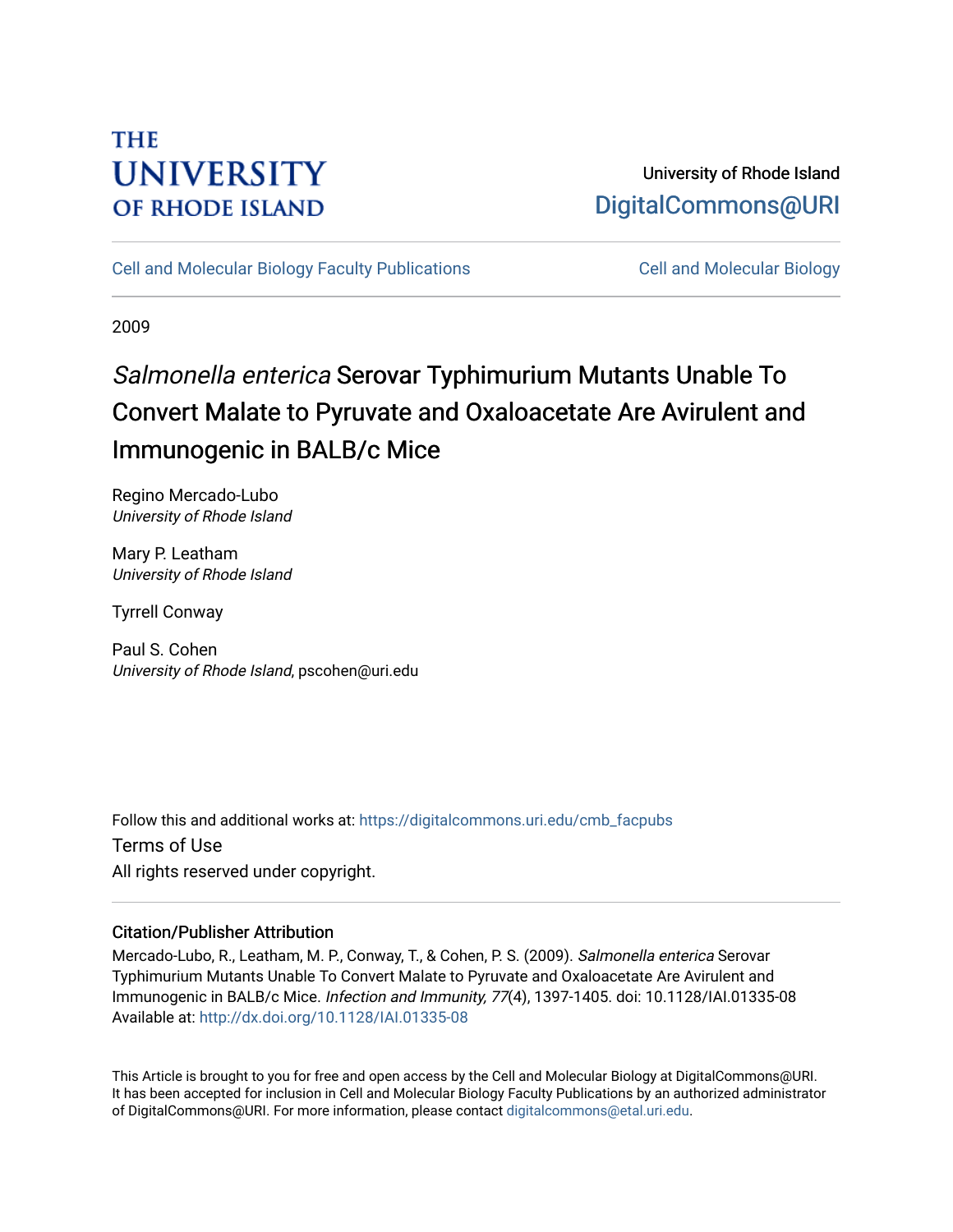## **THE UNIVERSITY OF RHODE ISLAND**

## University of Rhode Island [DigitalCommons@URI](https://digitalcommons.uri.edu/)

[Cell and Molecular Biology Faculty Publications](https://digitalcommons.uri.edu/cmb_facpubs) [Cell and Molecular Biology](https://digitalcommons.uri.edu/cmb) 

2009

# Salmonella enterica Serovar Typhimurium Mutants Unable To Convert Malate to Pyruvate and Oxaloacetate Are Avirulent and Immunogenic in BALB/c Mice

Regino Mercado-Lubo University of Rhode Island

Mary P. Leatham University of Rhode Island

Tyrrell Conway

Paul S. Cohen University of Rhode Island, pscohen@uri.edu

Follow this and additional works at: [https://digitalcommons.uri.edu/cmb\\_facpubs](https://digitalcommons.uri.edu/cmb_facpubs?utm_source=digitalcommons.uri.edu%2Fcmb_facpubs%2F58&utm_medium=PDF&utm_campaign=PDFCoverPages)  Terms of Use All rights reserved under copyright.

### Citation/Publisher Attribution

Mercado-Lubo, R., Leatham, M. P., Conway, T., & Cohen, P. S. (2009). Salmonella enterica Serovar Typhimurium Mutants Unable To Convert Malate to Pyruvate and Oxaloacetate Are Avirulent and Immunogenic in BALB/c Mice. Infection and Immunity, 77(4), 1397-1405. doi: 10.1128/IAI.01335-08 Available at:<http://dx.doi.org/10.1128/IAI.01335-08>

This Article is brought to you for free and open access by the Cell and Molecular Biology at DigitalCommons@URI. It has been accepted for inclusion in Cell and Molecular Biology Faculty Publications by an authorized administrator of DigitalCommons@URI. For more information, please contact [digitalcommons@etal.uri.edu](mailto:digitalcommons@etal.uri.edu).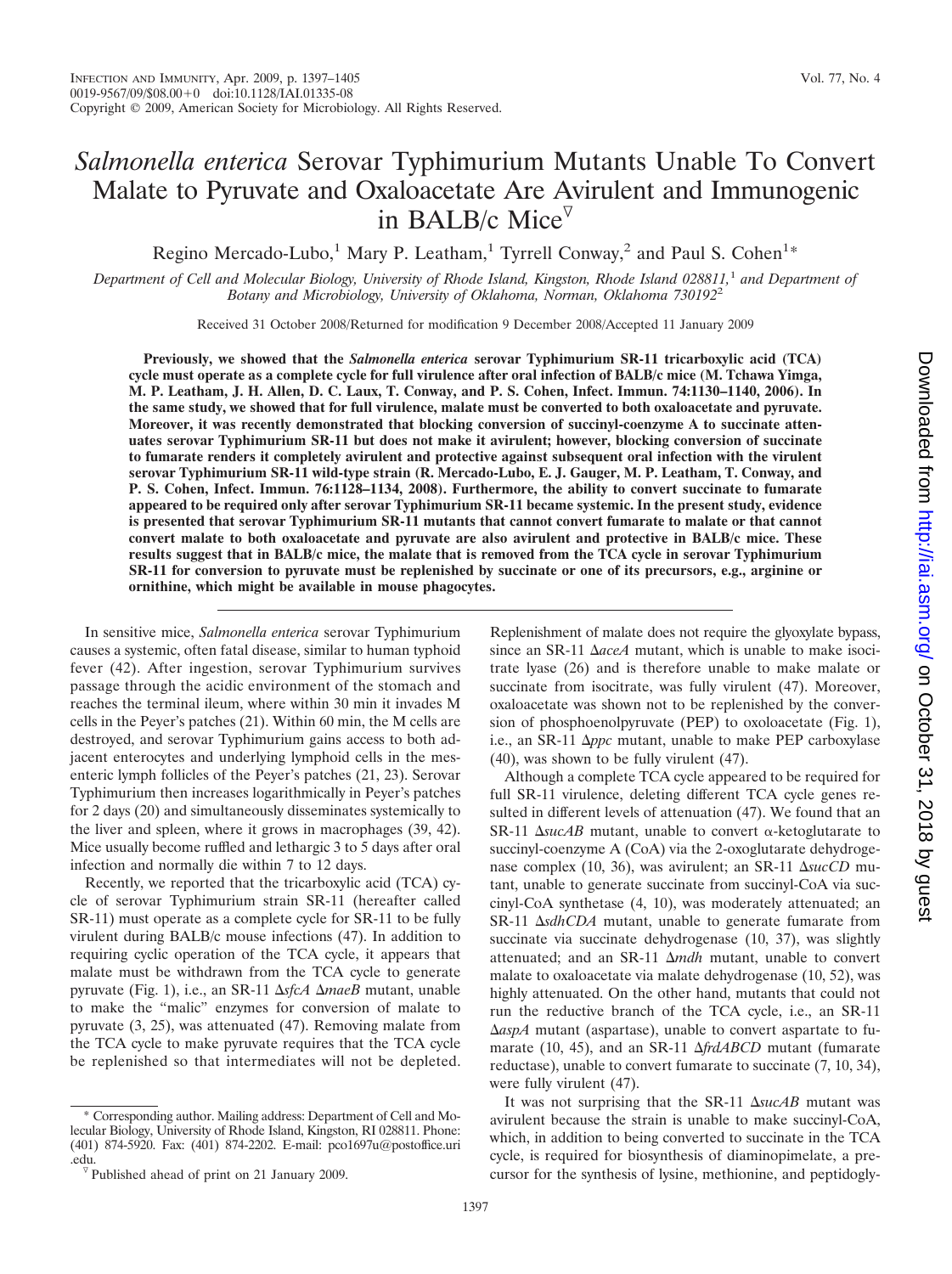### *Salmonella enterica* Serovar Typhimurium Mutants Unable To Convert Malate to Pyruvate and Oxaloacetate Are Avirulent and Immunogenic in BALB/c Mice

Regino Mercado-Lubo,<sup>1</sup> Mary P. Leatham,<sup>1</sup> Tyrrell Conway,<sup>2</sup> and Paul S. Cohen<sup>1\*</sup>

*Department of Cell and Molecular Biology, University of Rhode Island, Kingston, Rhode Island 028811,*<sup>1</sup> *and Department of Botany and Microbiology, University of Oklahoma, Norman, Oklahoma 730192*<sup>2</sup>

Received 31 October 2008/Returned for modification 9 December 2008/Accepted 11 January 2009

**Previously, we showed that the** *Salmonella enterica* **serovar Typhimurium SR-11 tricarboxylic acid (TCA) cycle must operate as a complete cycle for full virulence after oral infection of BALB/c mice (M. Tchawa Yimga, M. P. Leatham, J. H. Allen, D. C. Laux, T. Conway, and P. S. Cohen, Infect. Immun. 74:1130–1140, 2006). In the same study, we showed that for full virulence, malate must be converted to both oxaloacetate and pyruvate. Moreover, it was recently demonstrated that blocking conversion of succinyl-coenzyme A to succinate attenuates serovar Typhimurium SR-11 but does not make it avirulent; however, blocking conversion of succinate to fumarate renders it completely avirulent and protective against subsequent oral infection with the virulent serovar Typhimurium SR-11 wild-type strain (R. Mercado-Lubo, E. J. Gauger, M. P. Leatham, T. Conway, and P. S. Cohen, Infect. Immun. 76:1128–1134, 2008). Furthermore, the ability to convert succinate to fumarate appeared to be required only after serovar Typhimurium SR-11 became systemic. In the present study, evidence is presented that serovar Typhimurium SR-11 mutants that cannot convert fumarate to malate or that cannot convert malate to both oxaloacetate and pyruvate are also avirulent and protective in BALB/c mice. These results suggest that in BALB/c mice, the malate that is removed from the TCA cycle in serovar Typhimurium SR-11 for conversion to pyruvate must be replenished by succinate or one of its precursors, e.g., arginine or ornithine, which might be available in mouse phagocytes.**

In sensitive mice, *Salmonella enterica* serovar Typhimurium causes a systemic, often fatal disease, similar to human typhoid fever (42). After ingestion, serovar Typhimurium survives passage through the acidic environment of the stomach and reaches the terminal ileum, where within 30 min it invades M cells in the Peyer's patches (21). Within 60 min, the M cells are destroyed, and serovar Typhimurium gains access to both adjacent enterocytes and underlying lymphoid cells in the mesenteric lymph follicles of the Peyer's patches (21, 23). Serovar Typhimurium then increases logarithmically in Peyer's patches for 2 days (20) and simultaneously disseminates systemically to the liver and spleen, where it grows in macrophages (39, 42). Mice usually become ruffled and lethargic 3 to 5 days after oral infection and normally die within 7 to 12 days.

Recently, we reported that the tricarboxylic acid (TCA) cycle of serovar Typhimurium strain SR-11 (hereafter called SR-11) must operate as a complete cycle for SR-11 to be fully virulent during BALB/c mouse infections (47). In addition to requiring cyclic operation of the TCA cycle, it appears that malate must be withdrawn from the TCA cycle to generate pyruvate (Fig. 1), i.e., an SR-11 ΔsfcA ΔmaeB mutant, unable to make the "malic" enzymes for conversion of malate to pyruvate (3, 25), was attenuated (47). Removing malate from the TCA cycle to make pyruvate requires that the TCA cycle be replenished so that intermediates will not be depleted.

\* Corresponding author. Mailing address: Department of Cell and Molecular Biology, University of Rhode Island, Kingston, RI 028811. Phone: (401) 874-5920. Fax: (401) 874-2202. E-mail: pco1697u@postoffice.uri %.edu.<br><sup> $\nabla$ </sup>Published ahead of print on 21 January 2009.

Replenishment of malate does not require the glyoxylate bypass, since an SR-11  $\Delta$ *aceA* mutant, which is unable to make isocitrate lyase (26) and is therefore unable to make malate or succinate from isocitrate, was fully virulent (47). Moreover, oxaloacetate was shown not to be replenished by the conversion of phosphoenolpyruvate (PEP) to oxoloacetate (Fig. 1), i.e., an SR-11  $\Delta ppc$  mutant, unable to make PEP carboxylase (40), was shown to be fully virulent (47).

Although a complete TCA cycle appeared to be required for full SR-11 virulence, deleting different TCA cycle genes resulted in different levels of attenuation (47). We found that an  $SR-11$   $\Delta$ *sucAB* mutant, unable to convert  $\alpha$ -ketoglutarate to succinyl-coenzyme A (CoA) via the 2-oxoglutarate dehydrogenase complex (10, 36), was avirulent; an SR-11 ΔsucCD mutant, unable to generate succinate from succinyl-CoA via succinyl-CoA synthetase (4, 10), was moderately attenuated; an SR-11  $\Delta$ *sdhCDA* mutant, unable to generate fumarate from succinate via succinate dehydrogenase (10, 37), was slightly attenuated; and an SR-11  $\Delta$ *mdh* mutant, unable to convert malate to oxaloacetate via malate dehydrogenase (10, 52), was highly attenuated. On the other hand, mutants that could not run the reductive branch of the TCA cycle, i.e., an SR-11 -*aspA* mutant (aspartase), unable to convert aspartate to fumarate (10, 45), and an SR-11  $\Delta frdABCD$  mutant (fumarate reductase), unable to convert fumarate to succinate (7, 10, 34), were fully virulent (47).

It was not surprising that the SR-11  $\Delta$ *sucAB* mutant was avirulent because the strain is unable to make succinyl-CoA, which, in addition to being converted to succinate in the TCA cycle, is required for biosynthesis of diaminopimelate, a precursor for the synthesis of lysine, methionine, and peptidogly-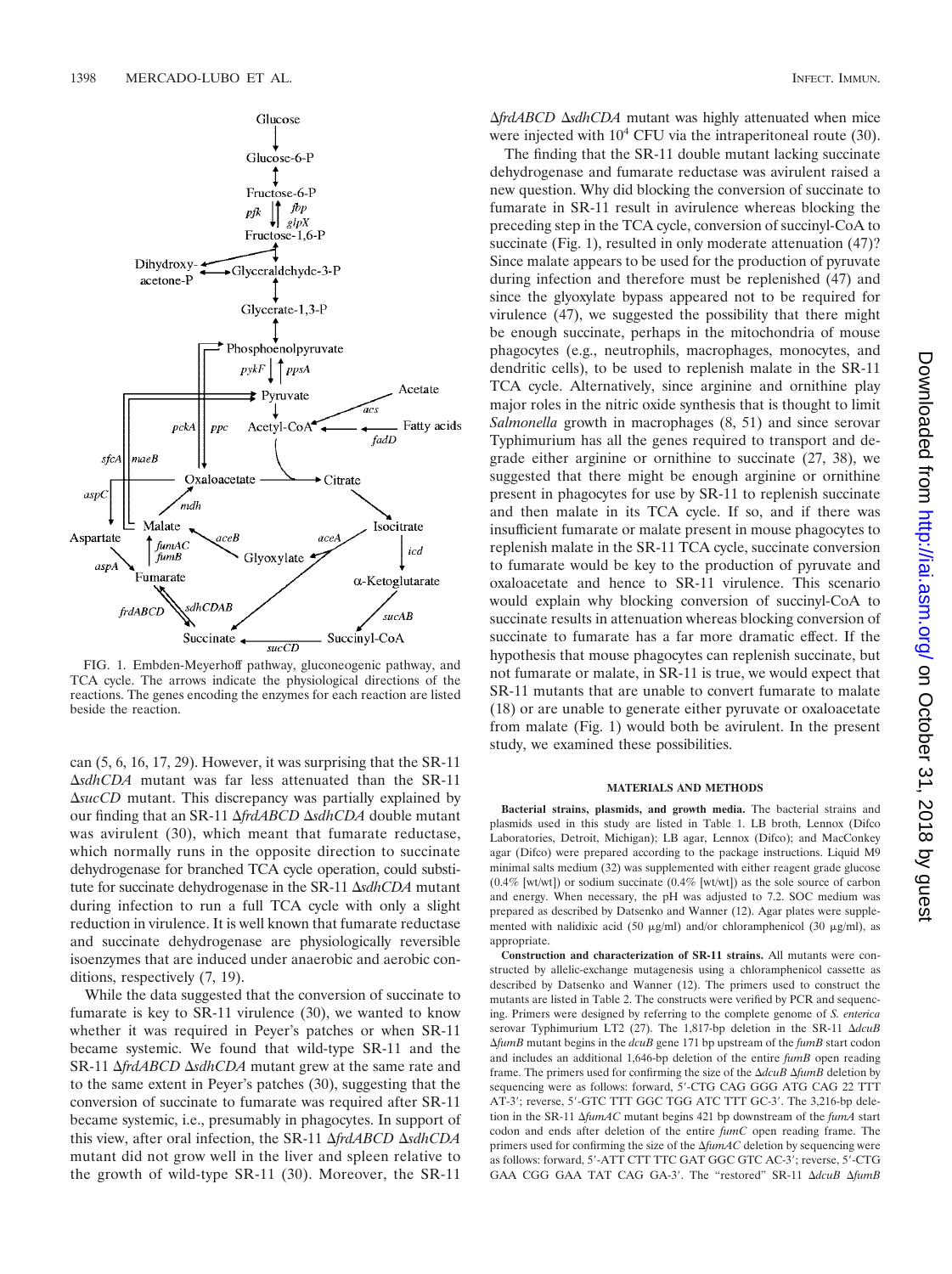

FIG. 1. Embden-Meyerhoff pathway, gluconeogenic pathway, and TCA cycle. The arrows indicate the physiological directions of the reactions. The genes encoding the enzymes for each reaction are listed beside the reaction.

can (5, 6, 16, 17, 29). However, it was surprising that the SR-11 -*sdhCDA* mutant was far less attenuated than the SR-11 -*sucCD* mutant. This discrepancy was partially explained by our finding that an SR-11  $\Delta f r dABCD \Delta s dhCDA$  double mutant was avirulent (30), which meant that fumarate reductase, which normally runs in the opposite direction to succinate dehydrogenase for branched TCA cycle operation, could substitute for succinate dehydrogenase in the SR-11  $\Delta$ sdhCDA mutant during infection to run a full TCA cycle with only a slight reduction in virulence. It is well known that fumarate reductase and succinate dehydrogenase are physiologically reversible isoenzymes that are induced under anaerobic and aerobic conditions, respectively (7, 19).

While the data suggested that the conversion of succinate to fumarate is key to SR-11 virulence (30), we wanted to know whether it was required in Peyer's patches or when SR-11 became systemic. We found that wild-type SR-11 and the SR-11  $\Delta f r dABCD \Delta s dhCDA$  mutant grew at the same rate and to the same extent in Peyer's patches (30), suggesting that the conversion of succinate to fumarate was required after SR-11 became systemic, i.e., presumably in phagocytes. In support of this view, after oral infection, the SR-11  $\Delta$ *frdABCD*  $\Delta$ *sdhCDA* mutant did not grow well in the liver and spleen relative to the growth of wild-type SR-11 (30). Moreover, the SR-11

 $\Delta f r dA B C D \Delta s d h C D A$  mutant was highly attenuated when mice were injected with  $10^4$  CFU via the intraperitoneal route (30).

The finding that the SR-11 double mutant lacking succinate dehydrogenase and fumarate reductase was avirulent raised a new question. Why did blocking the conversion of succinate to fumarate in SR-11 result in avirulence whereas blocking the preceding step in the TCA cycle, conversion of succinyl-CoA to succinate (Fig. 1), resulted in only moderate attenuation  $(47)$ ? Since malate appears to be used for the production of pyruvate during infection and therefore must be replenished (47) and since the glyoxylate bypass appeared not to be required for virulence (47), we suggested the possibility that there might be enough succinate, perhaps in the mitochondria of mouse phagocytes (e.g., neutrophils, macrophages, monocytes, and dendritic cells), to be used to replenish malate in the SR-11 TCA cycle. Alternatively, since arginine and ornithine play major roles in the nitric oxide synthesis that is thought to limit *Salmonella* growth in macrophages (8, 51) and since serovar Typhimurium has all the genes required to transport and degrade either arginine or ornithine to succinate (27, 38), we suggested that there might be enough arginine or ornithine present in phagocytes for use by SR-11 to replenish succinate and then malate in its TCA cycle. If so, and if there was insufficient fumarate or malate present in mouse phagocytes to replenish malate in the SR-11 TCA cycle, succinate conversion to fumarate would be key to the production of pyruvate and oxaloacetate and hence to SR-11 virulence. This scenario would explain why blocking conversion of succinyl-CoA to succinate results in attenuation whereas blocking conversion of succinate to fumarate has a far more dramatic effect. If the hypothesis that mouse phagocytes can replenish succinate, but not fumarate or malate, in SR-11 is true, we would expect that SR-11 mutants that are unable to convert fumarate to malate (18) or are unable to generate either pyruvate or oxaloacetate from malate (Fig. 1) would both be avirulent. In the present study, we examined these possibilities.

#### **MATERIALS AND METHODS**

**Bacterial strains, plasmids, and growth media.** The bacterial strains and plasmids used in this study are listed in Table 1. LB broth, Lennox (Difco Laboratories, Detroit, Michigan); LB agar, Lennox (Difco); and MacConkey agar (Difco) were prepared according to the package instructions. Liquid M9 minimal salts medium (32) was supplemented with either reagent grade glucose (0.4% [wt/wt]) or sodium succinate (0.4% [wt/wt]) as the sole source of carbon and energy. When necessary, the pH was adjusted to 7.2. SOC medium was prepared as described by Datsenko and Wanner (12). Agar plates were supplemented with nalidixic acid (50  $\mu$ g/ml) and/or chloramphenicol (30  $\mu$ g/ml), as appropriate.

**Construction and characterization of SR-11 strains.** All mutants were constructed by allelic-exchange mutagenesis using a chloramphenicol cassette as described by Datsenko and Wanner (12). The primers used to construct the mutants are listed in Table 2. The constructs were verified by PCR and sequencing. Primers were designed by referring to the complete genome of *S. enterica* serovar Typhimurium LT2 (27). The 1,817-bp deletion in the SR-11 Δ*dcuB* -*fumB* mutant begins in the *dcuB* gene 171 bp upstream of the *fumB* start codon and includes an additional 1,646-bp deletion of the entire *fumB* open reading frame. The primers used for confirming the size of the  $\Delta dcuB \Delta f$ umB deletion by sequencing were as follows: forward, 5-CTG CAG GGG ATG CAG 22 TTT AT-3'; reverse, 5'-GTC TTT GGC TGG ATC TTT GC-3'. The 3,216-bp deletion in the SR-11  $\Delta f$ *umAC* mutant begins 421 bp downstream of the *fumA* start codon and ends after deletion of the entire *fumC* open reading frame. The primers used for confirming the size of the  $\Delta f$ *umAC* deletion by sequencing were as follows: forward, 5'-ATT CTT TTC GAT GGC GTC AC-3'; reverse, 5'-CTG GAA CGG GAA TAT CAG GA-3'. The "restored" SR-11  $\Delta dcuB$   $\Delta f$ umB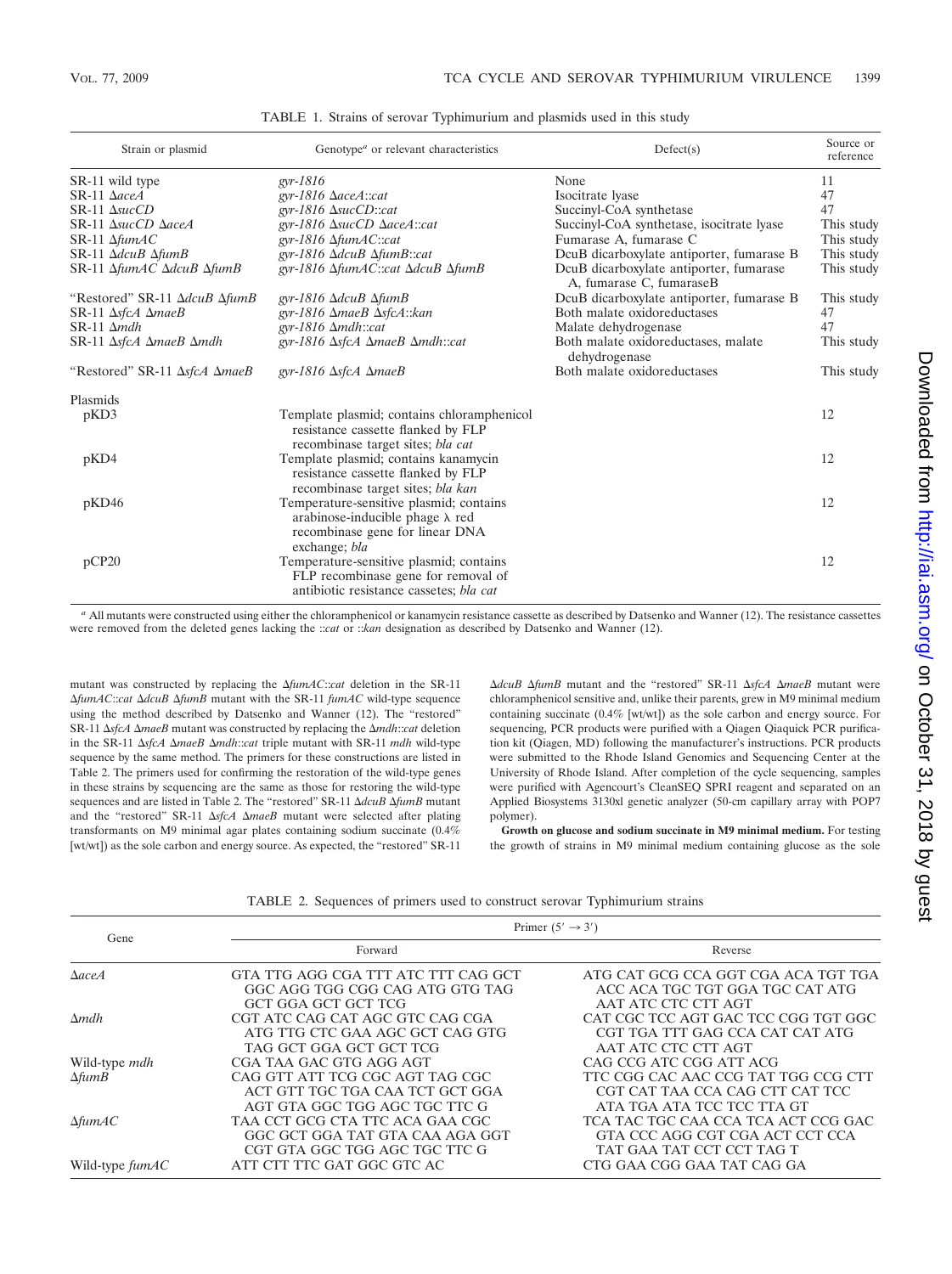| Strain or plasmid                                   | Genotype <sup><i>a</i></sup> or relevant characteristics                                                                               | Defect(s)                                                           | Source or<br>reference |
|-----------------------------------------------------|----------------------------------------------------------------------------------------------------------------------------------------|---------------------------------------------------------------------|------------------------|
| SR-11 wild type                                     | $gyr-1816$                                                                                                                             | None                                                                | 11                     |
| $SR-11$ $\Delta$ aceA                               | gyr-1816 $\Delta aceA::cat$                                                                                                            | Isocitrate lyase                                                    | 47                     |
| $SR-11$ $\Delta succCD$                             | gyr-1816 $\Delta$ sucCD::cat                                                                                                           | Succinyl-CoA synthetase                                             | 47                     |
| SR-11 AsucCD AaceA                                  | gyr-1816 $\triangle$ sucCD $\triangle$ aceA::cat                                                                                       | Succinyl-CoA synthetase, isocitrate lyase                           | This study             |
| $SR-11 \Delta f \mu mAC$                            | gyr-1816 $\Delta f$ umAC::cat                                                                                                          | Fumarase A, fumarase C                                              | This study             |
| $SR-11$ $\Delta dcuB$ $\Delta f$ <i>umB</i>         | gyr-1816 $\Delta dcuB \Delta f$ umB::cat                                                                                               | DcuB dicarboxylate antiporter, fumarase B                           | This study             |
| $SR-11 \Delta f$ umAC $\Delta d$ cuB $\Delta f$ umB | gyr-1816 ∆fumAC::cat ∆dcuB ∆fumB                                                                                                       | DcuB dicarboxylate antiporter, fumarase<br>A, fumarase C, fumaraseB | This study             |
| "Restored" SR-11 ΔdcuB ΔfumB                        | gyr-1816 $\Delta dcuB \Delta f$ umB                                                                                                    | DcuB dicarboxylate antiporter, fumarase B                           | This study             |
| $SR-11 \Delta s$ fcA $\Delta m$ aeB                 | gyr-1816 $\Delta$ maeB $\Delta$ sfcA::kan                                                                                              | Both malate oxidoreductases                                         | 47                     |
| $SR-11 \Delta mdh$                                  | gyr-1816 $\Delta$ mdh::cat                                                                                                             | Malate dehydrogenase                                                | 47                     |
| $SR-11 \Delta s$ fcA $\Delta m$ aeB $\Delta m$ dh   | gyr-1816 $\Delta$ sfcA $\Delta$ maeB $\Delta$ mdh::cat                                                                                 | Both malate oxidoreductases, malate<br>dehydrogenase                | This study             |
| "Restored" SR-11 ΔsfcA ΔmaeB                        | gyr-1816 $\Delta$ sfcA $\Delta$ maeB                                                                                                   | Both malate oxidoreductases                                         | This study             |
| Plasmids                                            |                                                                                                                                        |                                                                     |                        |
| pKD3                                                | Template plasmid; contains chloramphenicol<br>resistance cassette flanked by FLP<br>recombinase target sites; bla cat                  |                                                                     | 12                     |
| pKD4                                                | Template plasmid; contains kanamycin<br>resistance cassette flanked by FLP<br>recombinase target sites; bla kan                        |                                                                     | 12                     |
| pKD46                                               | Temperature-sensitive plasmid; contains<br>arabinose-inducible phage $\lambda$ red<br>recombinase gene for linear DNA<br>exchange; bla |                                                                     | 12                     |
| pCP20                                               | Temperature-sensitive plasmid; contains<br>FLP recombinase gene for removal of<br>antibiotic resistance cassetes; bla cat              |                                                                     | 12                     |

TABLE 1. Strains of serovar Typhimurium and plasmids used in this study

*<sup>a</sup>* All mutants were constructed using either the chloramphenicol or kanamycin resistance cassette as described by Datsenko and Wanner (12). The resistance cassettes were removed from the deleted genes lacking the ::*cat* or ::*kan* designation as described by Datsenko and Wanner (12).

mutant was constructed by replacing the  $\Delta f u m A C$ ::*cat* deletion in the SR-11  $ΔfumAC::cat ΔdcuB ΔfumB$  mutant with the SR-11 *fumAC* wild-type sequence using the method described by Datsenko and Wanner (12). The "restored" SR-11  $\Delta$ *sfcA*  $\Delta$ *maeB* mutant was constructed by replacing the  $\Delta$ *mdh*::*cat* deletion in the SR-11  $\Delta$ sfcA  $\Delta$ *maeB*  $\Delta$ *mdh*::*cat* triple mutant with SR-11 *mdh* wild-type sequence by the same method. The primers for these constructions are listed in Table 2. The primers used for confirming the restoration of the wild-type genes in these strains by sequencing are the same as those for restoring the wild-type sequences and are listed in Table 2. The "restored" SR-11 Δ*dcuB* Δ*fumB* mutant and the "restored" SR-11  $\Delta$ sfcA  $\Delta$ *maeB* mutant were selected after plating transformants on M9 minimal agar plates containing sodium succinate (0.4% [wt/wt]) as the sole carbon and energy source. As expected, the "restored" SR-11

Δ*dcuB* Δ*fumB* mutant and the "restored" SR-11 Δ*sfcA* Δ*maeB* mutant were chloramphenicol sensitive and, unlike their parents, grew in M9 minimal medium containing succinate (0.4% [wt/wt]) as the sole carbon and energy source. For sequencing, PCR products were purified with a Qiagen Qiaquick PCR purification kit (Qiagen, MD) following the manufacturer's instructions. PCR products were submitted to the Rhode Island Genomics and Sequencing Center at the University of Rhode Island. After completion of the cycle sequencing, samples were purified with Agencourt's CleanSEQ SPRI reagent and separated on an Applied Biosystems 3130xl genetic analyzer (50-cm capillary array with POP7 polymer).

**Growth on glucose and sodium succinate in M9 minimal medium.** For testing the growth of strains in M9 minimal medium containing glucose as the sole

|  |  |  |  |  |  | TABLE 2. Sequences of primers used to construct serovar Typhimurium strains |  |
|--|--|--|--|--|--|-----------------------------------------------------------------------------|--|
|--|--|--|--|--|--|-----------------------------------------------------------------------------|--|

| Gene                  | Primer $(5' \rightarrow 3')$                                                                        |                                                                                                      |  |  |  |
|-----------------------|-----------------------------------------------------------------------------------------------------|------------------------------------------------------------------------------------------------------|--|--|--|
|                       | Forward                                                                                             | Reverse                                                                                              |  |  |  |
| $\Delta$ aceA         | GTA TTG AGG CGA TTT ATC TTT CAG GCT<br>GGC AGG TGG CGG CAG ATG GTG TAG<br>GCT GGA GCT GCT TCG       | ATG CAT GCG CCA GGT CGA ACA TGT TGA<br>ACC ACA TGC TGT GGA TGC CAT ATG<br>AAT ATC CTC CTT AGT        |  |  |  |
| $\Delta$ <i>mdh</i>   | CGT ATC CAG CAT AGC GTC CAG CGA<br>ATG TTG CTC GAA AGC GCT CAG GTG<br>TAG GCT GGA GCT GCT TCG       | CAT CGC TCC AGT GAC TCC CGG TGT GGC<br>CGT TGA TTT GAG CCA CAT CAT ATG<br>AAT ATC CTC CTT AGT        |  |  |  |
| Wild-type <i>mdh</i>  | CGA TAA GAC GTG AGG AGT                                                                             | CAG CCG ATC CGG ATT ACG                                                                              |  |  |  |
| $\Delta f$ <i>umB</i> | CAG GTT ATT TCG CGC AGT TAG CGC<br>ACT GTT TGC TGA CAA TCT GCT GGA<br>AGT GTA GGC TGG AGC TGC TTC G | TTC CGG CAC AAC CCG TAT TGG CCG CTT<br>CGT CAT TAA CCA CAG CTT CAT TCC<br>ATA TGA ATA TCC TCC TTA GT |  |  |  |
| $\Delta f$ um $AC$    | TAA CCT GCG CTA TTC ACA GAA CGC<br>GGC GCT GGA TAT GTA CAA AGA GGT<br>CGT GTA GGC TGG AGC TGC TTC G | TCA TAC TGC CAA CCA TCA ACT CCG GAC<br>GTA CCC AGG CGT CGA ACT CCT CCA<br>TAT GAA TAT CCT CCT TAG T  |  |  |  |
| Wild-type $f \mu MAC$ | ATT CTT TTC GAT GGC GTC AC                                                                          | CTG GAA CGG GAA TAT CAG GA                                                                           |  |  |  |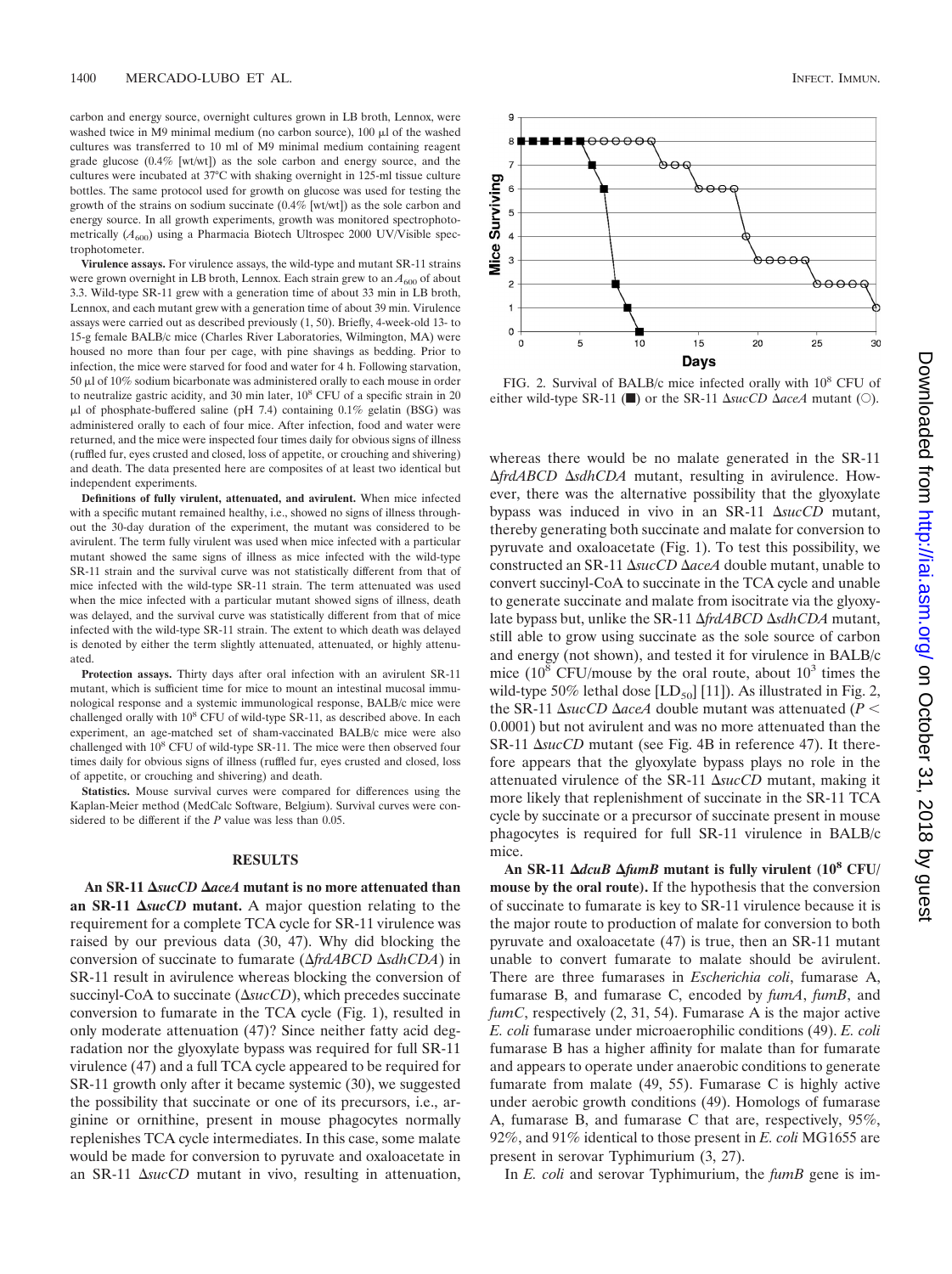carbon and energy source, overnight cultures grown in LB broth, Lennox, were washed twice in M9 minimal medium (no carbon source),  $100 \mu l$  of the washed cultures was transferred to 10 ml of M9 minimal medium containing reagent grade glucose (0.4% [wt/wt]) as the sole carbon and energy source, and the cultures were incubated at 37°C with shaking overnight in 125-ml tissue culture bottles. The same protocol used for growth on glucose was used for testing the growth of the strains on sodium succinate (0.4% [wt/wt]) as the sole carbon and energy source. In all growth experiments, growth was monitored spectrophotometrically  $(A_{600})$  using a Pharmacia Biotech Ultrospec 2000 UV/Visible spectrophotometer.

**Virulence assays.** For virulence assays, the wild-type and mutant SR-11 strains were grown overnight in LB broth, Lennox. Each strain grew to an  $A_{600}$  of about 3.3. Wild-type SR-11 grew with a generation time of about 33 min in LB broth, Lennox, and each mutant grew with a generation time of about 39 min. Virulence assays were carried out as described previously (1, 50). Briefly, 4-week-old 13- to 15-g female BALB/c mice (Charles River Laboratories, Wilmington, MA) were housed no more than four per cage, with pine shavings as bedding. Prior to infection, the mice were starved for food and water for 4 h. Following starvation, 50  $\mu$ l of 10% sodium bicarbonate was administered orally to each mouse in order to neutralize gastric acidity, and 30 min later,  $10<sup>8</sup>$  CFU of a specific strain in 20  $\mu$ l of phosphate-buffered saline (pH 7.4) containing 0.1% gelatin (BSG) was administered orally to each of four mice. After infection, food and water were returned, and the mice were inspected four times daily for obvious signs of illness (ruffled fur, eyes crusted and closed, loss of appetite, or crouching and shivering) and death. The data presented here are composites of at least two identical but independent experiments.

**Definitions of fully virulent, attenuated, and avirulent.** When mice infected with a specific mutant remained healthy, i.e., showed no signs of illness throughout the 30-day duration of the experiment, the mutant was considered to be avirulent. The term fully virulent was used when mice infected with a particular mutant showed the same signs of illness as mice infected with the wild-type SR-11 strain and the survival curve was not statistically different from that of mice infected with the wild-type SR-11 strain. The term attenuated was used when the mice infected with a particular mutant showed signs of illness, death was delayed, and the survival curve was statistically different from that of mice infected with the wild-type SR-11 strain. The extent to which death was delayed is denoted by either the term slightly attenuated, attenuated, or highly attenuated.

**Protection assays.** Thirty days after oral infection with an avirulent SR-11 mutant, which is sufficient time for mice to mount an intestinal mucosal immunological response and a systemic immunological response, BALB/c mice were challenged orally with 10<sup>8</sup> CFU of wild-type SR-11, as described above. In each experiment, an age-matched set of sham-vaccinated BALB/c mice were also challenged with 10<sup>8</sup> CFU of wild-type SR-11. The mice were then observed four times daily for obvious signs of illness (ruffled fur, eyes crusted and closed, loss of appetite, or crouching and shivering) and death.

**Statistics.** Mouse survival curves were compared for differences using the Kaplan-Meier method (MedCalc Software, Belgium). Survival curves were considered to be different if the *P* value was less than 0.05.

#### **RESULTS**

**An SR-11** *sucCD aceA* **mutant is no more attenuated than** an SR-11  $\Delta$ *sucCD* mutant. A major question relating to the requirement for a complete TCA cycle for SR-11 virulence was raised by our previous data (30, 47). Why did blocking the conversion of succinate to fumarate (Δ*frdABCD* ΔsdhCDA) in SR-11 result in avirulence whereas blocking the conversion of succinyl-CoA to succinate  $(\Delta succ)$ , which precedes succinate conversion to fumarate in the TCA cycle (Fig. 1), resulted in only moderate attenuation (47)? Since neither fatty acid degradation nor the glyoxylate bypass was required for full SR-11 virulence (47) and a full TCA cycle appeared to be required for SR-11 growth only after it became systemic (30), we suggested the possibility that succinate or one of its precursors, i.e., arginine or ornithine, present in mouse phagocytes normally replenishes TCA cycle intermediates. In this case, some malate would be made for conversion to pyruvate and oxaloacetate in an SR-11  $\Delta$ *sucCD* mutant in vivo, resulting in attenuation,



FIG. 2. Survival of BALB/c mice infected orally with 10<sup>8</sup> CFU of either wild-type SR-11 ( $\blacksquare$ ) or the SR-11  $\Delta succCD \Delta accA$  mutant ( $\bigcirc$ ).

whereas there would be no malate generated in the SR-11  $\Delta f r dA B C D \Delta s d h C D A$  mutant, resulting in avirulence. However, there was the alternative possibility that the glyoxylate bypass was induced in vivo in an SR-11  $\Delta succCD$  mutant, thereby generating both succinate and malate for conversion to pyruvate and oxaloacetate (Fig. 1). To test this possibility, we constructed an SR-11  $\Delta succD \Delta aceA$  double mutant, unable to convert succinyl-CoA to succinate in the TCA cycle and unable to generate succinate and malate from isocitrate via the glyoxylate bypass but, unlike the SR-11  $\Delta$ *frdABCD*  $\Delta$ *sdhCDA* mutant, still able to grow using succinate as the sole source of carbon and energy (not shown), and tested it for virulence in BALB/c mice  $(10^8 \text{ CFU/mouse by the oral route, about } 10^3 \text{ times the})$ wild-type 50% lethal dose  $[LD_{50}]$  [11]). As illustrated in Fig. 2, the SR-11  $\Delta$ *sucCD*  $\Delta$ *aceA* double mutant was attenuated (*P* < 0.0001) but not avirulent and was no more attenuated than the  $SR-11$   $\Delta succCD$  mutant (see Fig. 4B in reference 47). It therefore appears that the glyoxylate bypass plays no role in the attenuated virulence of the SR-11  $\Delta succCD$  mutant, making it more likely that replenishment of succinate in the SR-11 TCA cycle by succinate or a precursor of succinate present in mouse phagocytes is required for full SR-11 virulence in BALB/c mice.

An SR-11  $\Delta dcuB \Delta f$ *umB* mutant is fully virulent (10<sup>8</sup> CFU/ **mouse by the oral route).** If the hypothesis that the conversion of succinate to fumarate is key to SR-11 virulence because it is the major route to production of malate for conversion to both pyruvate and oxaloacetate (47) is true, then an SR-11 mutant unable to convert fumarate to malate should be avirulent. There are three fumarases in *Escherichia coli*, fumarase A, fumarase B, and fumarase C, encoded by *fumA*, *fumB*, and *fumC*, respectively (2, 31, 54). Fumarase A is the major active *E. coli* fumarase under microaerophilic conditions (49). *E. coli* fumarase B has a higher affinity for malate than for fumarate and appears to operate under anaerobic conditions to generate fumarate from malate (49, 55). Fumarase C is highly active under aerobic growth conditions (49). Homologs of fumarase A, fumarase B, and fumarase C that are, respectively, 95%, 92%, and 91% identical to those present in *E. coli* MG1655 are present in serovar Typhimurium (3, 27).

In *E. coli* and serovar Typhimurium, the *fumB* gene is im-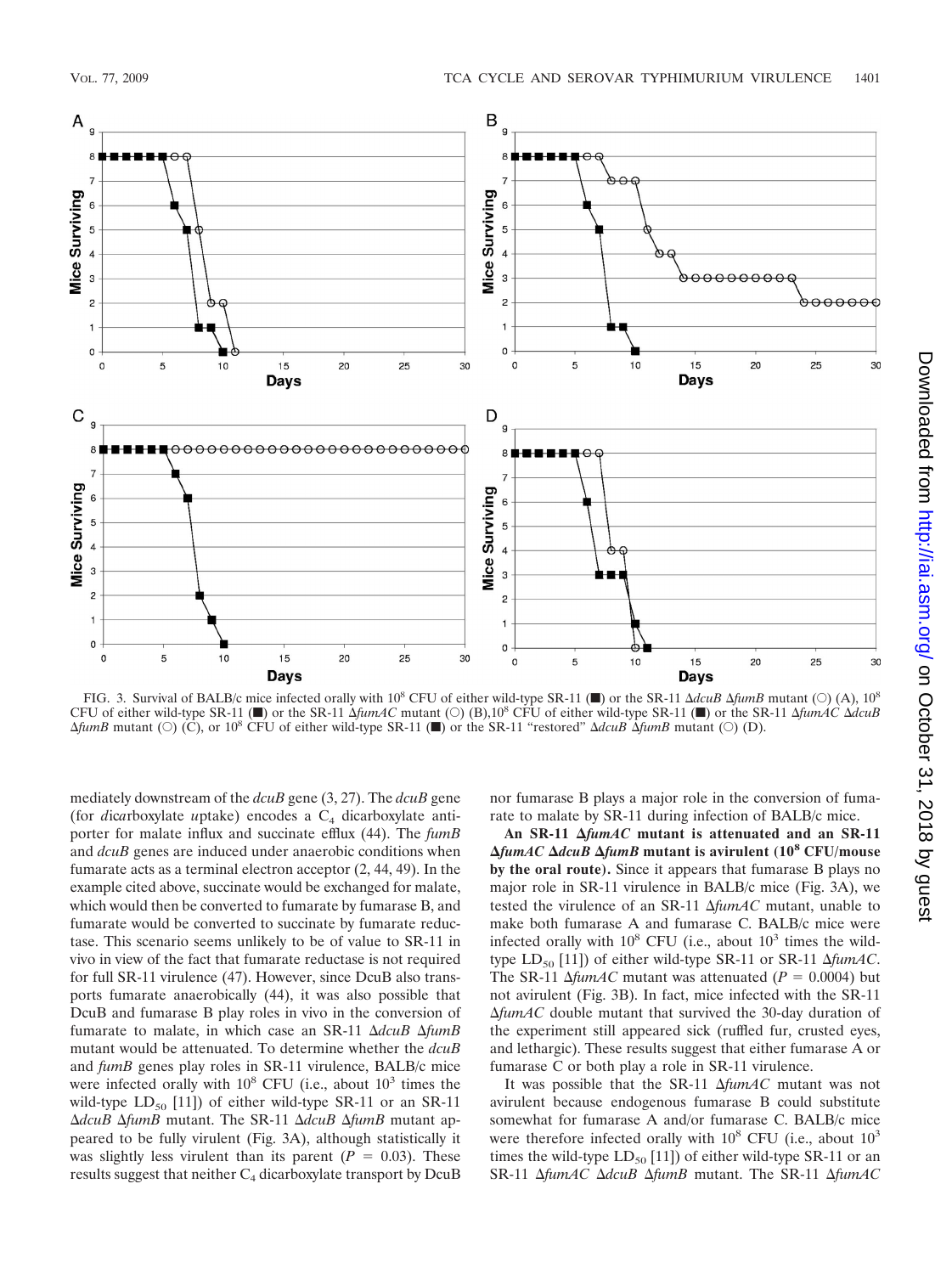

FIG. 3. Survival of BALB/c mice infected orally with  $10^8$  CFU of either wild-type SR-11 ( $\blacksquare$ ) or the SR-11  $\Delta dcuB\Delta f$ *umB* mutant ( $\bigcirc$ ) (A),  $10^8$ CFU of either wild-type SR-11 ( $\blacksquare$ ) or the SR-11  $\Delta f u mAC$  mutant ( $\bigcirc$ ) (B),10<sup>8</sup> CFU of either wild-type SR-11  $\blacksquare$ ) or the SR-11  $\Delta f u mAC \Delta d c uB$  $\Delta f$ *umB* mutant ( $\circ$ ) (C), or 10<sup>8</sup> CFU of either wild-type SR-11 (T) or the SR-11 "restored"  $\Delta d$ *cuB*  $\Delta f$ *umB* mutant ( $\circ$ ) (D).

mediately downstream of the *dcuB* gene (3, 27). The *dcuB* gene (for *dicarboxylate uptake*) encodes a C<sub>4</sub> dicarboxylate antiporter for malate influx and succinate efflux (44). The *fumB* and *dcuB* genes are induced under anaerobic conditions when fumarate acts as a terminal electron acceptor (2, 44, 49). In the example cited above, succinate would be exchanged for malate, which would then be converted to fumarate by fumarase B, and fumarate would be converted to succinate by fumarate reductase. This scenario seems unlikely to be of value to SR-11 in vivo in view of the fact that fumarate reductase is not required for full SR-11 virulence (47). However, since DcuB also transports fumarate anaerobically (44), it was also possible that DcuB and fumarase B play roles in vivo in the conversion of fumarate to malate, in which case an SR-11  $\Delta dcuB \Delta f$ *umB* mutant would be attenuated. To determine whether the *dcuB* and *fumB* genes play roles in SR-11 virulence, BALB/c mice were infected orally with  $10^8$  CFU (i.e., about  $10^3$  times the wild-type  $LD_{50}$  [11]) of either wild-type SR-11 or an SR-11 Δ*dcuB* Δ*fumB* mutant. The SR-11 Δ*dcuB* Δ*fumB* mutant appeared to be fully virulent (Fig. 3A), although statistically it was slightly less virulent than its parent  $(P = 0.03)$ . These results suggest that neither  $C_4$  dicarboxylate transport by DcuB

nor fumarase B plays a major role in the conversion of fumarate to malate by SR-11 during infection of BALB/c mice.

**An SR-11** *fumAC* **mutant is attenuated and an SR-11** *fumAC dcuB fumB* **mutant is avirulent (10<sup>8</sup> CFU/mouse by the oral route).** Since it appears that fumarase B plays no major role in SR-11 virulence in BALB/c mice (Fig. 3A), we tested the virulence of an SR-11  $\Delta f$ *umAC* mutant, unable to make both fumarase A and fumarase C. BALB/c mice were infected orally with  $10^8$  CFU (i.e., about  $10^3$  times the wildtype  $LD_{50}$  [11]) of either wild-type SR-11 or SR-11  $\Delta f$ *umAC*. The SR-11  $\Delta f$ *umAC* mutant was attenuated (*P* = 0.0004) but not avirulent (Fig. 3B). In fact, mice infected with the SR-11 -*fumAC* double mutant that survived the 30-day duration of the experiment still appeared sick (ruffled fur, crusted eyes, and lethargic). These results suggest that either fumarase A or fumarase C or both play a role in SR-11 virulence.

It was possible that the SR-11  $\Delta f$ *umAC* mutant was not avirulent because endogenous fumarase B could substitute somewhat for fumarase A and/or fumarase C. BALB/c mice were therefore infected orally with  $10^8$  CFU (i.e., about  $10^3$ times the wild-type  $LD_{50}$  [11]) of either wild-type SR-11 or an SR-11  $\Delta f$ *umAC*  $\Delta d$ *cuB*  $\Delta f$ *umB* mutant. The SR-11  $\Delta f$ *umAC*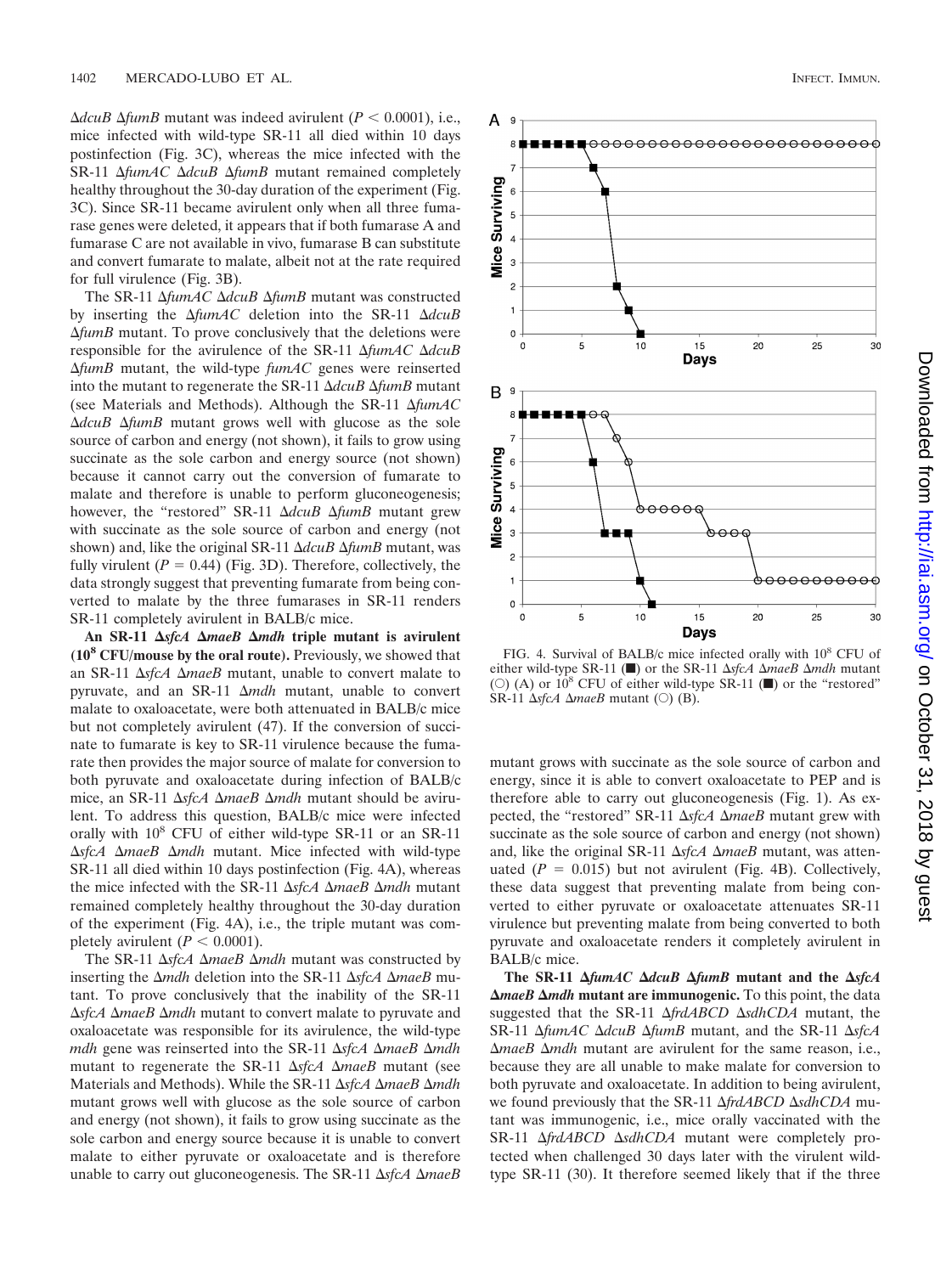$\Delta dcuB \Delta f$ *umB* mutant was indeed avirulent (*P* < 0.0001), i.e., mice infected with wild-type SR-11 all died within 10 days postinfection (Fig. 3C), whereas the mice infected with the SR-11  $\Delta f$ *umAC*  $\Delta d$ *cuB*  $\Delta f$ *umB* mutant remained completely healthy throughout the 30-day duration of the experiment (Fig. 3C). Since SR-11 became avirulent only when all three fumarase genes were deleted, it appears that if both fumarase A and fumarase C are not available in vivo, fumarase B can substitute and convert fumarate to malate, albeit not at the rate required for full virulence (Fig. 3B).

The SR-11  $\Delta f$ *umAC*  $\Delta d$ *cuB*  $\Delta f$ *umB* mutant was constructed by inserting the  $\Delta f$ *umAC* deletion into the SR-11  $\Delta d$ *cuB*  $\Delta f$ *umB* mutant. To prove conclusively that the deletions were responsible for the avirulence of the SR-11  $\Delta f$ *umAC*  $\Delta d$ *cuB* -*fumB* mutant, the wild-type *fumAC* genes were reinserted into the mutant to regenerate the SR-11  $\Delta dcuB \Delta f$ *umB* mutant (see Materials and Methods). Although the SR-11  $\Delta f$ umAC  $\Delta dcuB$   $\Delta f$ *umB* mutant grows well with glucose as the sole source of carbon and energy (not shown), it fails to grow using succinate as the sole carbon and energy source (not shown) because it cannot carry out the conversion of fumarate to malate and therefore is unable to perform gluconeogenesis; however, the "restored" SR-11  $\Delta dcuB$   $\Delta f$ *umB* mutant grew with succinate as the sole source of carbon and energy (not shown) and, like the original SR-11  $\Delta dcuB \Delta f$ *umB* mutant, was fully virulent  $(P = 0.44)$  (Fig. 3D). Therefore, collectively, the data strongly suggest that preventing fumarate from being converted to malate by the three fumarases in SR-11 renders SR-11 completely avirulent in BALB/c mice.

An SR-11  $\Delta$ sfcA  $\Delta$ maeB  $\Delta$ mdh triple mutant is avirulent **(108 CFU/mouse by the oral route).** Previously, we showed that an SR-11  $\Delta$ *sfcA*  $\Delta$ *maeB* mutant, unable to convert malate to pyruvate, and an SR-11 Δ*mdh* mutant, unable to convert malate to oxaloacetate, were both attenuated in BALB/c mice but not completely avirulent (47). If the conversion of succinate to fumarate is key to SR-11 virulence because the fumarate then provides the major source of malate for conversion to both pyruvate and oxaloacetate during infection of BALB/c mice, an SR-11 ΔsfcA ΔmaeB Δmdh mutant should be avirulent. To address this question, BALB/c mice were infected orally with  $10^8$  CFU of either wild-type SR-11 or an SR-11 ΔsfcA ΔmaeB Δmdh mutant. Mice infected with wild-type SR-11 all died within 10 days postinfection (Fig. 4A), whereas the mice infected with the SR-11  $\Delta$ sfcA  $\Delta$ *maeB*  $\Delta$ *mdh* mutant remained completely healthy throughout the 30-day duration of the experiment (Fig. 4A), i.e., the triple mutant was completely avirulent  $(P < 0.0001)$ .

The SR-11  $\Delta$ sfcA  $\Delta$ *maeB*  $\Delta$ *mdh* mutant was constructed by inserting the  $\Delta$ *mdh* deletion into the SR-11  $\Delta$ sfcA  $\Delta$ *maeB* mutant. To prove conclusively that the inability of the SR-11 ΔsfcA ΔmaeB Δmdh mutant to convert malate to pyruvate and oxaloacetate was responsible for its avirulence, the wild-type *mdh* gene was reinserted into the SR-11  $\Delta$ sfcA  $\Delta$ *maeB*  $\Delta$ *mdh* mutant to regenerate the SR-11 ΔsfcA ΔmaeB mutant (see Materials and Methods). While the SR-11 ΔsfcA ΔmaeB Δmdh mutant grows well with glucose as the sole source of carbon and energy (not shown), it fails to grow using succinate as the sole carbon and energy source because it is unable to convert malate to either pyruvate or oxaloacetate and is therefore unable to carry out gluconeogenesis. The SR-11 ΔsfcA ΔmaeB



FIG. 4. Survival of BALB/c mice infected orally with  $10^8$  CFU of either wild-type SR-11 ( $\blacksquare$ ) or the SR-11  $\Delta$ sfcA  $\Delta$ *maeB*  $\Delta$ *mdh* mutant (O) (A) or  $10^8$  CFU of either wild-type SR-11 ( $\blacksquare$ ) or the "restored"  $\overrightarrow{SR-11}$   $\Delta$ *sfcA*  $\Delta$ *maeB* mutant ( $\circ$ ) (B).

mutant grows with succinate as the sole source of carbon and energy, since it is able to convert oxaloacetate to PEP and is therefore able to carry out gluconeogenesis (Fig. 1). As expected, the "restored" SR-11  $\Delta$ sfcA  $\Delta$ *maeB* mutant grew with succinate as the sole source of carbon and energy (not shown) and, like the original SR-11  $\Delta$ sfcA  $\Delta$ *maeB* mutant, was attenuated  $(P = 0.015)$  but not avirulent (Fig. 4B). Collectively, these data suggest that preventing malate from being converted to either pyruvate or oxaloacetate attenuates SR-11 virulence but preventing malate from being converted to both pyruvate and oxaloacetate renders it completely avirulent in BALB/c mice.

**The SR-11** *fumAC dcuB fumB* **mutant and the** *sfcA* **AmaeB Amdh** mutant are immunogenic. To this point, the data suggested that the SR-11  $\Delta frdABCD \Delta sdhCDA$  mutant, the SR-11  $\Delta f$ *umAC*  $\Delta d$ *cuB*  $\Delta f$ *umB* mutant, and the SR-11  $\Delta s$ *fcA* Δ*maeB* Δ*mdh* mutant are avirulent for the same reason, i.e., because they are all unable to make malate for conversion to both pyruvate and oxaloacetate. In addition to being avirulent, we found previously that the SR-11 Δ*frdABCD* ΔsdhCDA mutant was immunogenic, i.e., mice orally vaccinated with the SR-11  $\Delta frdABCD \Delta sdhCDA$  mutant were completely protected when challenged 30 days later with the virulent wildtype SR-11 (30). It therefore seemed likely that if the three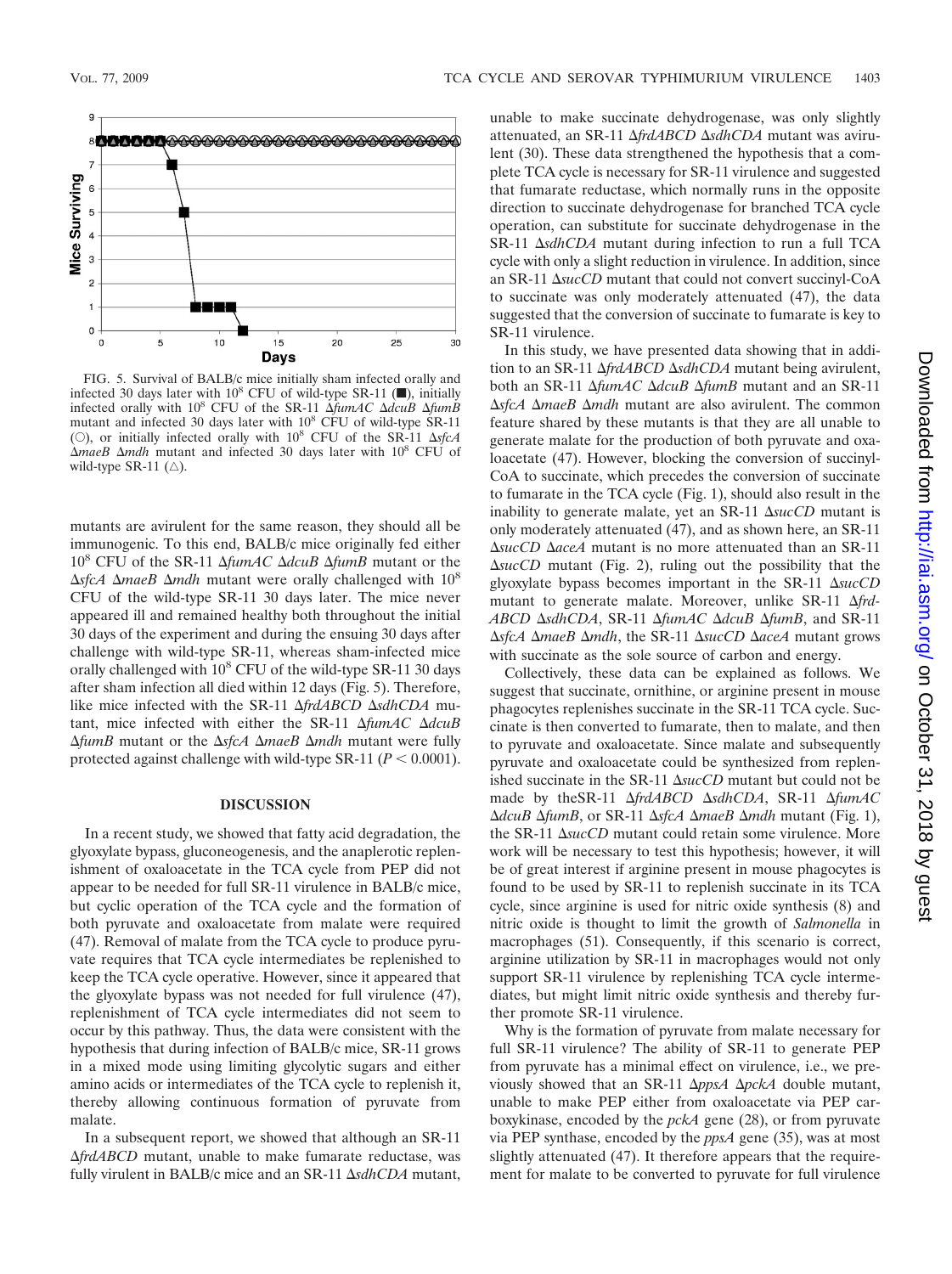

FIG. 5. Survival of BALB/c mice initially sham infected orally and infected 30 days later with  $10^8$  CFU of wild-type SR-11 ( $\blacksquare$ ), initially infected orally with  $10^8$  CFU of the SR-11  $\Delta f$ *umAC*  $\Delta d$ *cuB*  $\Delta f$ *umB* mutant and infected 30 days later with 10<sup>8</sup> CFU of wild-type SR-11 (O), or initially infected orally with  $10^8$  CFU of the SR-11  $\Delta s$ *fcA*  $\Delta$ *maeB*  $\Delta$ *mdh* mutant and infected 30 days later with 10<sup>8</sup> CFU of wild-type SR-11  $(\triangle)$ .

mutants are avirulent for the same reason, they should all be immunogenic. To this end, BALB/c mice originally fed either 10<sup>8</sup> CFU of the SR-11  $\Delta f$ *umAC*  $\Delta d$ *cuB*  $\Delta f$ *umB* mutant or the  $\Delta$ sfcA  $\Delta$ *maeB*  $\Delta$ *mdh* mutant were orally challenged with 10<sup>8</sup> CFU of the wild-type SR-11 30 days later. The mice never appeared ill and remained healthy both throughout the initial 30 days of the experiment and during the ensuing 30 days after challenge with wild-type SR-11, whereas sham-infected mice orally challenged with  $10^8$  CFU of the wild-type SR-11 30 days after sham infection all died within 12 days (Fig. 5). Therefore, like mice infected with the SR-11  $\Delta frdABCD \Delta sdhCDA$  mutant, mice infected with either the SR-11  $\Delta f$ *umAC*  $\Delta d$ *cuB*  $ΔfumB$  mutant or the  $ΔsfcA ΔmaeB Δmdh$  mutant were fully protected against challenge with wild-type SR-11 ( $P < 0.0001$ ).

#### **DISCUSSION**

In a recent study, we showed that fatty acid degradation, the glyoxylate bypass, gluconeogenesis, and the anaplerotic replenishment of oxaloacetate in the TCA cycle from PEP did not appear to be needed for full SR-11 virulence in BALB/c mice, but cyclic operation of the TCA cycle and the formation of both pyruvate and oxaloacetate from malate were required (47). Removal of malate from the TCA cycle to produce pyruvate requires that TCA cycle intermediates be replenished to keep the TCA cycle operative. However, since it appeared that the glyoxylate bypass was not needed for full virulence (47), replenishment of TCA cycle intermediates did not seem to occur by this pathway. Thus, the data were consistent with the hypothesis that during infection of BALB/c mice, SR-11 grows in a mixed mode using limiting glycolytic sugars and either amino acids or intermediates of the TCA cycle to replenish it, thereby allowing continuous formation of pyruvate from malate.

In a subsequent report, we showed that although an SR-11 -*frdABCD* mutant, unable to make fumarate reductase, was fully virulent in BALB/c mice and an SR-11  $\Delta$ sdhCDA mutant, unable to make succinate dehydrogenase, was only slightly attenuated, an SR-11 *AfrdABCD AsdhCDA* mutant was avirulent (30). These data strengthened the hypothesis that a complete TCA cycle is necessary for SR-11 virulence and suggested that fumarate reductase, which normally runs in the opposite direction to succinate dehydrogenase for branched TCA cycle operation, can substitute for succinate dehydrogenase in the SR-11  $\Delta$ *sdhCDA* mutant during infection to run a full TCA cycle with only a slight reduction in virulence. In addition, since an SR-11  $\Delta$ *sucCD* mutant that could not convert succinyl-CoA to succinate was only moderately attenuated (47), the data suggested that the conversion of succinate to fumarate is key to SR-11 virulence.

In this study, we have presented data showing that in addition to an SR-11  $\Delta f r dA B C D \Delta s d h C D A$  mutant being avirulent, both an SR-11 Δ*fumAC* Δ*dcuB* Δ*fumB* mutant and an SR-11 ΔsfcA ΔmaeB Δmdh mutant are also avirulent. The common feature shared by these mutants is that they are all unable to generate malate for the production of both pyruvate and oxaloacetate (47). However, blocking the conversion of succinyl-CoA to succinate, which precedes the conversion of succinate to fumarate in the TCA cycle (Fig. 1), should also result in the inability to generate malate, yet an SR-11  $\Delta succCD$  mutant is only moderately attenuated (47), and as shown here, an SR-11 ΔsucCD ΔaceA mutant is no more attenuated than an SR-11 -*sucCD* mutant (Fig. 2), ruling out the possibility that the glyoxylate bypass becomes important in the SR-11  $\Delta succ$ mutant to generate malate. Moreover, unlike SR-11 Δ*frd*-*ABCD*  $\Delta$ *sdhCDA*, SR-11  $\Delta$ *fumAC*  $\Delta$ *dcuB*  $\Delta$ *fumB*, and SR-11  $\Delta$ *sfcA*  $\Delta$ *maeB*  $\Delta$ *mdh*, the SR-11  $\Delta$ *sucCD*  $\Delta$ *aceA* mutant grows with succinate as the sole source of carbon and energy.

Collectively, these data can be explained as follows. We suggest that succinate, ornithine, or arginine present in mouse phagocytes replenishes succinate in the SR-11 TCA cycle. Succinate is then converted to fumarate, then to malate, and then to pyruvate and oxaloacetate. Since malate and subsequently pyruvate and oxaloacetate could be synthesized from replenished succinate in the SR-11  $\Delta succCD$  mutant but could not be made by theSR-11  $\Delta frdABCD \Delta sdhCDA$ , SR-11  $\Delta frumAC$ *ΔdcuB ΔfumB*, or SR-11 *ΔsfcA ΔmaeB Δmdh* mutant (Fig. 1), the SR-11  $\Delta$ *sucCD* mutant could retain some virulence. More work will be necessary to test this hypothesis; however, it will be of great interest if arginine present in mouse phagocytes is found to be used by SR-11 to replenish succinate in its TCA cycle, since arginine is used for nitric oxide synthesis (8) and nitric oxide is thought to limit the growth of *Salmonella* in macrophages (51). Consequently, if this scenario is correct, arginine utilization by SR-11 in macrophages would not only support SR-11 virulence by replenishing TCA cycle intermediates, but might limit nitric oxide synthesis and thereby further promote SR-11 virulence.

Why is the formation of pyruvate from malate necessary for full SR-11 virulence? The ability of SR-11 to generate PEP from pyruvate has a minimal effect on virulence, i.e., we previously showed that an SR-11  $\Delta p$ *psA*  $\Delta p$ *ckA* double mutant, unable to make PEP either from oxaloacetate via PEP carboxykinase, encoded by the *pckA* gene (28), or from pyruvate via PEP synthase, encoded by the *ppsA* gene (35), was at most slightly attenuated (47). It therefore appears that the requirement for malate to be converted to pyruvate for full virulence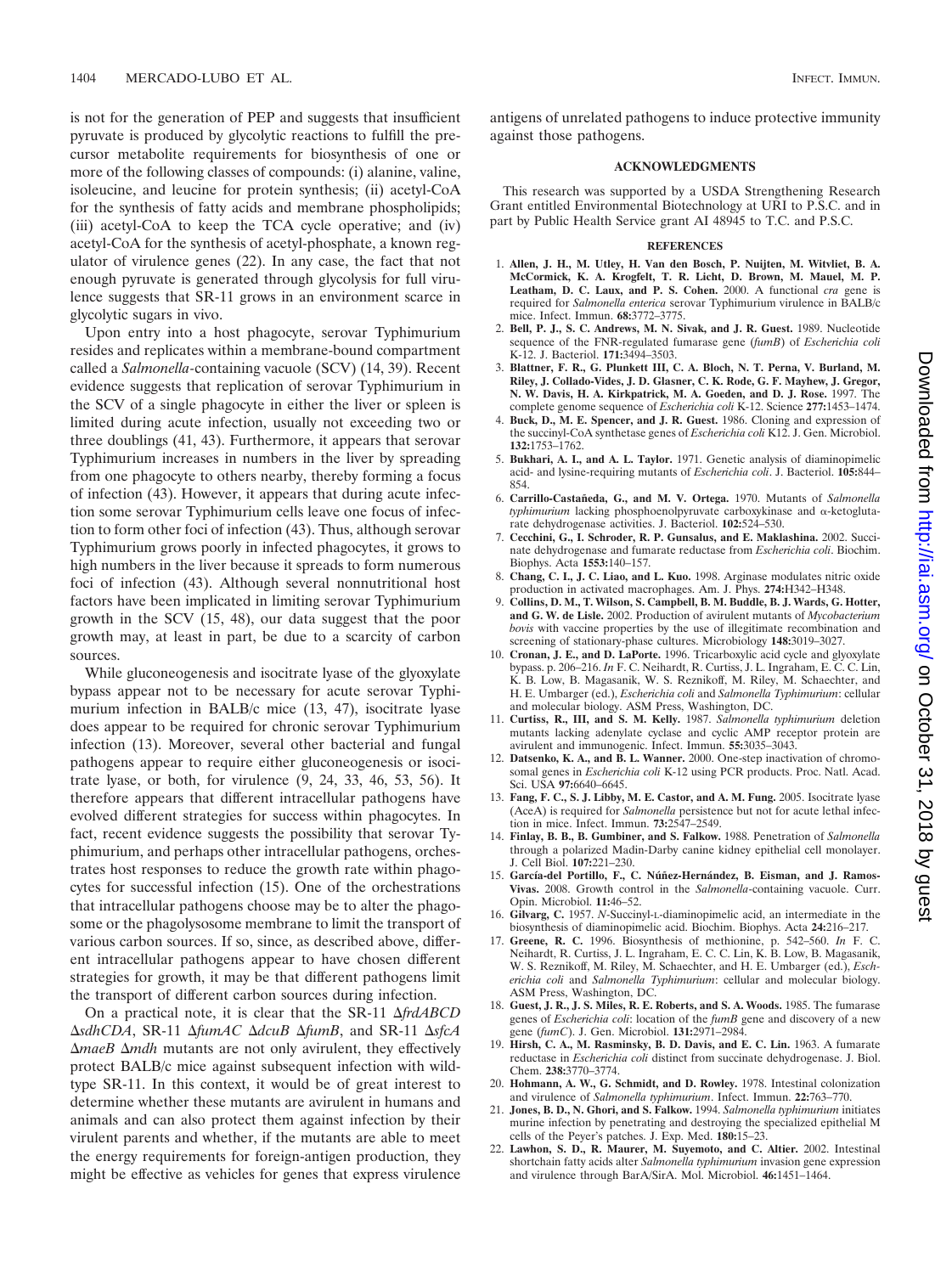is not for the generation of PEP and suggests that insufficient pyruvate is produced by glycolytic reactions to fulfill the precursor metabolite requirements for biosynthesis of one or more of the following classes of compounds: (i) alanine, valine, isoleucine, and leucine for protein synthesis; (ii) acetyl-CoA for the synthesis of fatty acids and membrane phospholipids; (iii) acetyl-CoA to keep the TCA cycle operative; and (iv) acetyl-CoA for the synthesis of acetyl-phosphate, a known regulator of virulence genes (22). In any case, the fact that not enough pyruvate is generated through glycolysis for full virulence suggests that SR-11 grows in an environment scarce in glycolytic sugars in vivo.

Upon entry into a host phagocyte, serovar Typhimurium resides and replicates within a membrane-bound compartment called a *Salmonella-*containing vacuole (SCV) (14, 39). Recent evidence suggests that replication of serovar Typhimurium in the SCV of a single phagocyte in either the liver or spleen is limited during acute infection, usually not exceeding two or three doublings (41, 43). Furthermore, it appears that serovar Typhimurium increases in numbers in the liver by spreading from one phagocyte to others nearby, thereby forming a focus of infection (43). However, it appears that during acute infection some serovar Typhimurium cells leave one focus of infection to form other foci of infection (43). Thus, although serovar Typhimurium grows poorly in infected phagocytes, it grows to high numbers in the liver because it spreads to form numerous foci of infection (43). Although several nonnutritional host factors have been implicated in limiting serovar Typhimurium growth in the SCV (15, 48), our data suggest that the poor growth may, at least in part, be due to a scarcity of carbon sources.

While gluconeogenesis and isocitrate lyase of the glyoxylate bypass appear not to be necessary for acute serovar Typhimurium infection in BALB/c mice (13, 47), isocitrate lyase does appear to be required for chronic serovar Typhimurium infection (13). Moreover, several other bacterial and fungal pathogens appear to require either gluconeogenesis or isocitrate lyase, or both, for virulence (9, 24, 33, 46, 53, 56). It therefore appears that different intracellular pathogens have evolved different strategies for success within phagocytes. In fact, recent evidence suggests the possibility that serovar Typhimurium, and perhaps other intracellular pathogens, orchestrates host responses to reduce the growth rate within phagocytes for successful infection (15). One of the orchestrations that intracellular pathogens choose may be to alter the phagosome or the phagolysosome membrane to limit the transport of various carbon sources. If so, since, as described above, different intracellular pathogens appear to have chosen different strategies for growth, it may be that different pathogens limit the transport of different carbon sources during infection.

On a practical note, it is clear that the SR-11 Δ*frdABCD*  $\Delta$ *sdhCDA*, SR-11  $\Delta$ *fumAC*  $\Delta$ *dcuB*  $\Delta$ *fumB*, and SR-11  $\Delta$ *sfcA* Δ*maeB* Δ*mdh* mutants are not only avirulent, they effectively protect BALB/c mice against subsequent infection with wildtype SR-11. In this context, it would be of great interest to determine whether these mutants are avirulent in humans and animals and can also protect them against infection by their virulent parents and whether, if the mutants are able to meet the energy requirements for foreign-antigen production, they might be effective as vehicles for genes that express virulence

antigens of unrelated pathogens to induce protective immunity against those pathogens.

#### **ACKNOWLEDGMENTS**

This research was supported by a USDA Strengthening Research Grant entitled Environmental Biotechnology at URI to P.S.C. and in part by Public Health Service grant AI 48945 to T.C. and P.S.C.

#### **REFERENCES**

- 1. **Allen, J. H., M. Utley, H. Van den Bosch, P. Nuijten, M. Witvliet, B. A. McCormick, K. A. Krogfelt, T. R. Licht, D. Brown, M. Mauel, M. P. Leatham, D. C. Laux, and P. S. Cohen.** 2000. A functional *cra* gene is required for *Salmonella enterica* serovar Typhimurium virulence in BALB/c mice. Infect. Immun. **68:**3772–3775.
- 2. **Bell, P. J., S. C. Andrews, M. N. Sivak, and J. R. Guest.** 1989. Nucleotide sequence of the FNR-regulated fumarase gene (*fumB*) of *Escherichia coli* K-12. J. Bacteriol. **171:**3494–3503.
- 3. **Blattner, F. R., G. Plunkett III, C. A. Bloch, N. T. Perna, V. Burland, M. Riley, J. Collado-Vides, J. D. Glasner, C. K. Rode, G. F. Mayhew, J. Gregor, N. W. Davis, H. A. Kirkpatrick, M. A. Goeden, and D. J. Rose.** 1997. The complete genome sequence of *Escherichia coli* K-12. Science **277:**1453–1474.
- 4. **Buck, D., M. E. Spencer, and J. R. Guest.** 1986. Cloning and expression of the succinyl-CoA synthetase genes of *Escherichia coli* K12. J. Gen. Microbiol. **132:**1753–1762.
- 5. **Bukhari, A. I., and A. L. Taylor.** 1971. Genetic analysis of diaminopimelic acid- and lysine-requiring mutants of *Escherichia coli*. J. Bacteriol. **105:**844– 854.
- 6. **Carrillo-Castan˜eda, G., and M. V. Ortega.** 1970. Mutants of *Salmonella typhimurium* lacking phosphoenolpyruvate carboxykinase and  $\alpha$ -ketoglutarate dehydrogenase activities. J. Bacteriol. **102:**524–530.
- 7. **Cecchini, G., I. Schroder, R. P. Gunsalus, and E. Maklashina.** 2002. Succinate dehydrogenase and fumarate reductase from *Escherichia coli*. Biochim. Biophys. Acta **1553:**140–157.
- 8. **Chang, C. I., J. C. Liao, and L. Kuo.** 1998. Arginase modulates nitric oxide production in activated macrophages. Am. J. Phys. **274:**H342–H348.
- 9. **Collins, D. M., T. Wilson, S. Campbell, B. M. Buddle, B. J. Wards, G. Hotter, and G. W. de Lisle.** 2002. Production of avirulent mutants of *Mycobacterium bovis* with vaccine properties by the use of illegitimate recombination and screening of stationary-phase cultures. Microbiology **148:**3019–3027.
- 10. **Cronan, J. E., and D. LaPorte.** 1996. Tricarboxylic acid cycle and glyoxylate bypass. p. 206–216. *In* F. C. Neihardt, R. Curtiss, J. L. Ingraham, E. C. C. Lin, K. B. Low, B. Magasanik, W. S. Reznikoff, M. Riley, M. Schaechter, and H. E. Umbarger (ed.), *Escherichia coli* and *Salmonella Typhimurium*: cellular and molecular biology. ASM Press, Washington, DC.
- 11. **Curtiss, R., III, and S. M. Kelly.** 1987. *Salmonella typhimurium* deletion mutants lacking adenylate cyclase and cyclic AMP receptor protein are avirulent and immunogenic. Infect. Immun. **55:**3035–3043.
- 12. **Datsenko, K. A., and B. L. Wanner.** 2000. One-step inactivation of chromosomal genes in *Escherichia coli* K-12 using PCR products. Proc. Natl. Acad. Sci. USA **97:**6640–6645.
- 13. **Fang, F. C., S. J. Libby, M. E. Castor, and A. M. Fung.** 2005. Isocitrate lyase (AceA) is required for *Salmonella* persistence but not for acute lethal infection in mice. Infect. Immun. **73:**2547–2549.
- 14. **Finlay, B. B., B. Gumbiner, and S. Falkow.** 1988. Penetration of *Salmonella* through a polarized Madin-Darby canine kidney epithelial cell monolayer. J. Cell Biol. **107:**221–230.
- 15. García-del Portillo, F., C. Núñez-Hernández, B. Eisman, and J. Ramos-**Vivas.** 2008. Growth control in the *Salmonella*-containing vacuole. Curr. Opin. Microbiol. **11:**46–52.
- 16. **Gilvarg, C.** 1957. *N*-Succinyl-L-diaminopimelic acid, an intermediate in the biosynthesis of diaminopimelic acid. Biochim. Biophys. Acta **24:**216–217.
- 17. **Greene, R. C.** 1996. Biosynthesis of methionine, p. 542–560. *In* F. C. Neihardt, R. Curtiss, J. L. Ingraham, E. C. C. Lin, K. B. Low, B. Magasanik, W. S. Reznikoff, M. Riley, M. Schaechter, and H. E. Umbarger (ed.), *Escherichia coli* and *Salmonella Typhimurium*: cellular and molecular biology. ASM Press, Washington, DC.
- 18. **Guest, J. R., J. S. Miles, R. E. Roberts, and S. A. Woods.** 1985. The fumarase genes of *Escherichia coli*: location of the *fumB* gene and discovery of a new gene (*fumC*). J. Gen. Microbiol. **131:**2971–2984.
- 19. **Hirsh, C. A., M. Rasminsky, B. D. Davis, and E. C. Lin.** 1963. A fumarate reductase in *Escherichia coli* distinct from succinate dehydrogenase. J. Biol. Chem. **238:**3770–3774.
- 20. **Hohmann, A. W., G. Schmidt, and D. Rowley.** 1978. Intestinal colonization and virulence of *Salmonella typhimurium*. Infect. Immun. **22:**763–770.
- 21. **Jones, B. D., N. Ghori, and S. Falkow.** 1994. *Salmonella typhimurium* initiates murine infection by penetrating and destroying the specialized epithelial M cells of the Peyer's patches. J. Exp. Med. **180:**15–23.
- 22. **Lawhon, S. D., R. Maurer, M. Suyemoto, and C. Altier.** 2002. Intestinal shortchain fatty acids alter *Salmonella typhimurium* invasion gene expression and virulence through BarA/SirA. Mol. Microbiol. **46:**1451–1464.